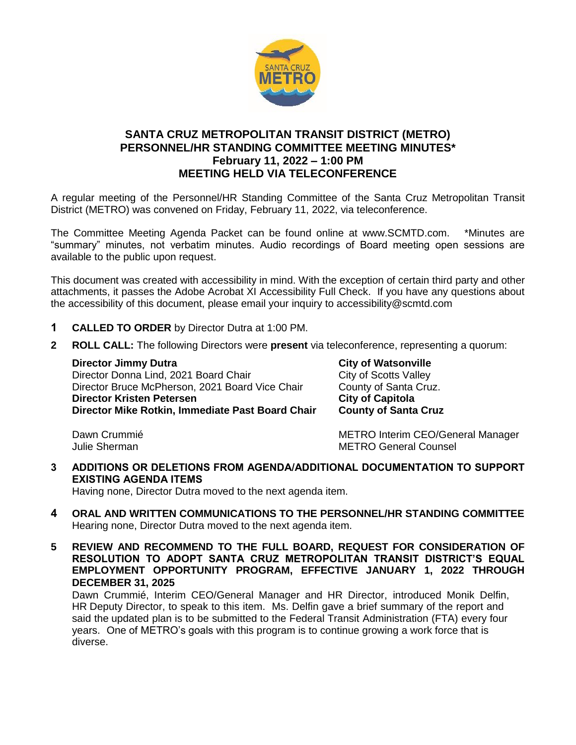

## **SANTA CRUZ METROPOLITAN TRANSIT DISTRICT (METRO) PERSONNEL/HR STANDING COMMITTEE MEETING MINUTES\* February 11, 2022 – 1:00 PM MEETING HELD VIA TELECONFERENCE**

A regular meeting of the Personnel/HR Standing Committee of the Santa Cruz Metropolitan Transit District (METRO) was convened on Friday, February 11, 2022, via teleconference.

The Committee Meeting Agenda Packet can be found online at www.SCMTD.com. \*Minutes are "summary" minutes, not verbatim minutes. Audio recordings of Board meeting open sessions are available to the public upon request.

This document was created with accessibility in mind. With the exception of certain third party and other attachments, it passes the Adobe Acrobat XI Accessibility Full Check. If you have any questions about the accessibility of this document, please email your inquiry to accessibility@scmtd.com

- **1 CALLED TO ORDER** by Director Dutra at 1:00 PM.
- **2 ROLL CALL:** The following Directors were **present** via teleconference, representing a quorum:

**Director Jimmy Dutra City of Watsonville** Director Donna Lind, 2021 Board Chair City of Scotts Valley Director Bruce McPherson, 2021 Board Vice Chair County of Santa Cruz. **Director Kristen Petersen City of Capitola Director Mike Rotkin, Immediate Past Board Chair County of Santa Cruz** 

Dawn Crummié **METRO Interim CEO/General Manager** Julie Sherman METRO General Counsel

**3 ADDITIONS OR DELETIONS FROM AGENDA/ADDITIONAL DOCUMENTATION TO SUPPORT EXISTING AGENDA ITEMS** 

Having none, Director Dutra moved to the next agenda item.

- **4 ORAL AND WRITTEN COMMUNICATIONS TO THE PERSONNEL/HR STANDING COMMITTEE**  Hearing none, Director Dutra moved to the next agenda item.
- **5 REVIEW AND RECOMMEND TO THE FULL BOARD, REQUEST FOR CONSIDERATION OF RESOLUTION TO ADOPT SANTA CRUZ METROPOLITAN TRANSIT DISTRICT'S EQUAL EMPLOYMENT OPPORTUNITY PROGRAM, EFFECTIVE JANUARY 1, 2022 THROUGH DECEMBER 31, 2025**

Dawn Crummié, Interim CEO/General Manager and HR Director, introduced Monik Delfin, HR Deputy Director, to speak to this item. Ms. Delfin gave a brief summary of the report and said the updated plan is to be submitted to the Federal Transit Administration (FTA) every four years. One of METRO's goals with this program is to continue growing a work force that is diverse.